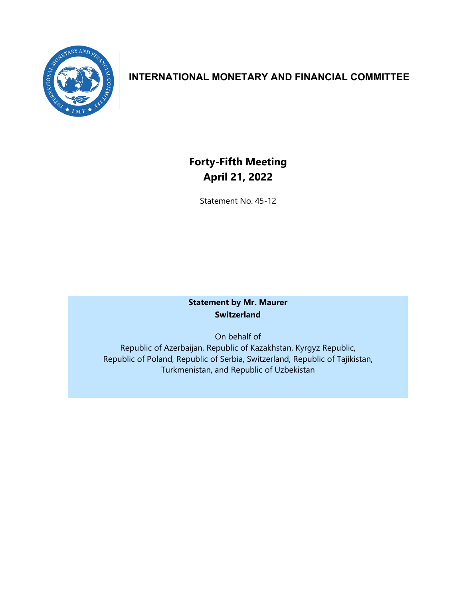

## **INTERNATIONAL MONETARY AND FINANCIAL COMMITTEE**

# **Forty-Fifth Meeting April 21, 2022**

Statement No. 45-12

## **Statement by Mr. Maurer Switzerland**

On behalf of Republic of Azerbaijan, Republic of Kazakhstan, Kyrgyz Republic, Republic of Poland, Republic of Serbia, Switzerland, Republic of Tajikistan, Turkmenistan, and Republic of Uzbekistan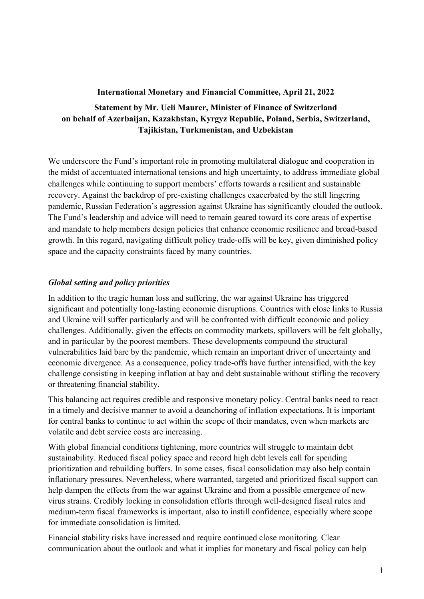#### **International Monetary and Financial Committee, April 21, 2022**

## **Statement by Mr. Ueli Maurer, Minister of Finance of Switzerland on behalf of Azerbaijan, Kazakhstan, Kyrgyz Republic, Poland, Serbia, Switzerland, Tajikistan, Turkmenistan, and Uzbekistan**

We underscore the Fund's important role in promoting multilateral dialogue and cooperation in the midst of accentuated international tensions and high uncertainty, to address immediate global challenges while continuing to support members' efforts towards a resilient and sustainable recovery. Against the backdrop of pre-existing challenges exacerbated by the still lingering pandemic, Russian Federation's aggression against Ukraine has significantly clouded the outlook. The Fund's leadership and advice will need to remain geared toward its core areas of expertise and mandate to help members design policies that enhance economic resilience and broad-based growth. In this regard, navigating difficult policy trade-offs will be key, given diminished policy space and the capacity constraints faced by many countries.

#### *Global setting and policy priorities*

In addition to the tragic human loss and suffering, the war against Ukraine has triggered significant and potentially long-lasting economic disruptions. Countries with close links to Russia and Ukraine will suffer particularly and will be confronted with difficult economic and policy challenges. Additionally, given the effects on commodity markets, spillovers will be felt globally, and in particular by the poorest members. These developments compound the structural vulnerabilities laid bare by the pandemic, which remain an important driver of uncertainty and economic divergence. As a consequence, policy trade-offs have further intensified, with the key challenge consisting in keeping inflation at bay and debt sustainable without stifling the recovery or threatening financial stability.

This balancing act requires credible and responsive monetary policy. Central banks need to react in a timely and decisive manner to avoid a deanchoring of inflation expectations. It is important for central banks to continue to act within the scope of their mandates, even when markets are volatile and debt service costs are increasing.

With global financial conditions tightening, more countries will struggle to maintain debt sustainability. Reduced fiscal policy space and record high debt levels call for spending prioritization and rebuilding buffers. In some cases, fiscal consolidation may also help contain inflationary pressures. Nevertheless, where warranted, targeted and prioritized fiscal support can help dampen the effects from the war against Ukraine and from a possible emergence of new virus strains. Credibly locking in consolidation efforts through well-designed fiscal rules and medium-term fiscal frameworks is important, also to instill confidence, especially where scope for immediate consolidation is limited.

Financial stability risks have increased and require continued close monitoring. Clear communication about the outlook and what it implies for monetary and fiscal policy can help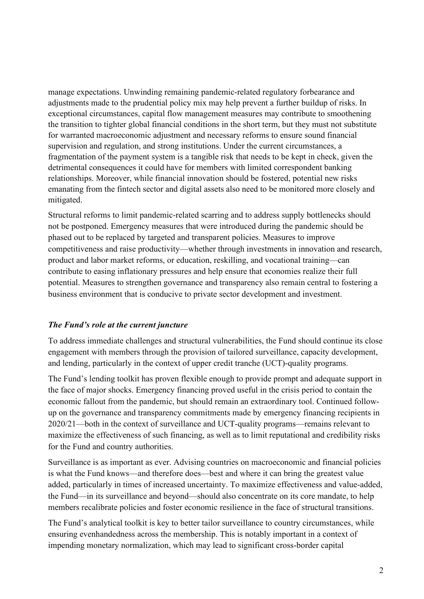manage expectations. Unwinding remaining pandemic-related regulatory forbearance and adjustments made to the prudential policy mix may help prevent a further buildup of risks. In exceptional circumstances, capital flow management measures may contribute to smoothening the transition to tighter global financial conditions in the short term, but they must not substitute for warranted macroeconomic adjustment and necessary reforms to ensure sound financial supervision and regulation, and strong institutions. Under the current circumstances, a fragmentation of the payment system is a tangible risk that needs to be kept in check, given the detrimental consequences it could have for members with limited correspondent banking relationships. Moreover, while financial innovation should be fostered, potential new risks emanating from the fintech sector and digital assets also need to be monitored more closely and mitigated.

Structural reforms to limit pandemic-related scarring and to address supply bottlenecks should not be postponed. Emergency measures that were introduced during the pandemic should be phased out to be replaced by targeted and transparent policies. Measures to improve competitiveness and raise productivity—whether through investments in innovation and research, product and labor market reforms, or education, reskilling, and vocational training—can contribute to easing inflationary pressures and help ensure that economies realize their full potential. Measures to strengthen governance and transparency also remain central to fostering a business environment that is conducive to private sector development and investment.

## *The Fund's role at the current juncture*

To address immediate challenges and structural vulnerabilities, the Fund should continue its close engagement with members through the provision of tailored surveillance, capacity development, and lending, particularly in the context of upper credit tranche (UCT)-quality programs.

The Fund's lending toolkit has proven flexible enough to provide prompt and adequate support in the face of major shocks. Emergency financing proved useful in the crisis period to contain the economic fallout from the pandemic, but should remain an extraordinary tool. Continued followup on the governance and transparency commitments made by emergency financing recipients in 2020/21—both in the context of surveillance and UCT-quality programs—remains relevant to maximize the effectiveness of such financing, as well as to limit reputational and credibility risks for the Fund and country authorities.

Surveillance is as important as ever. Advising countries on macroeconomic and financial policies is what the Fund knows—and therefore does—best and where it can bring the greatest value added, particularly in times of increased uncertainty. To maximize effectiveness and value-added, the Fund—in its surveillance and beyond—should also concentrate on its core mandate, to help members recalibrate policies and foster economic resilience in the face of structural transitions.

The Fund's analytical toolkit is key to better tailor surveillance to country circumstances, while ensuring evenhandedness across the membership. This is notably important in a context of impending monetary normalization, which may lead to significant cross-border capital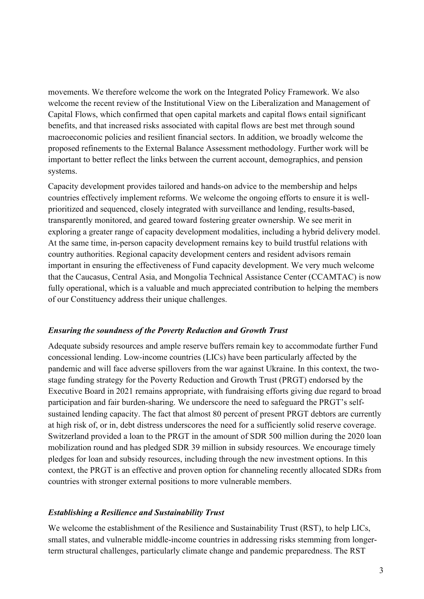movements. We therefore welcome the work on the Integrated Policy Framework. We also welcome the recent review of the Institutional View on the Liberalization and Management of Capital Flows, which confirmed that open capital markets and capital flows entail significant benefits, and that increased risks associated with capital flows are best met through sound macroeconomic policies and resilient financial sectors. In addition, we broadly welcome the proposed refinements to the External Balance Assessment methodology. Further work will be important to better reflect the links between the current account, demographics, and pension systems.

Capacity development provides tailored and hands-on advice to the membership and helps countries effectively implement reforms. We welcome the ongoing efforts to ensure it is wellprioritized and sequenced, closely integrated with surveillance and lending, results-based, transparently monitored, and geared toward fostering greater ownership. We see merit in exploring a greater range of capacity development modalities, including a hybrid delivery model. At the same time, in-person capacity development remains key to build trustful relations with country authorities. Regional capacity development centers and resident advisors remain important in ensuring the effectiveness of Fund capacity development. We very much welcome that the Caucasus, Central Asia, and Mongolia Technical Assistance Center (CCAMTAC) is now fully operational, which is a valuable and much appreciated contribution to helping the members of our Constituency address their unique challenges.

#### *Ensuring the soundness of the Poverty Reduction and Growth Trust*

Adequate subsidy resources and ample reserve buffers remain key to accommodate further Fund concessional lending. Low-income countries (LICs) have been particularly affected by the pandemic and will face adverse spillovers from the war against Ukraine. In this context, the twostage funding strategy for the Poverty Reduction and Growth Trust (PRGT) endorsed by the Executive Board in 2021 remains appropriate, with fundraising efforts giving due regard to broad participation and fair burden-sharing. We underscore the need to safeguard the PRGT's selfsustained lending capacity. The fact that almost 80 percent of present PRGT debtors are currently at high risk of, or in, debt distress underscores the need for a sufficiently solid reserve coverage. Switzerland provided a loan to the PRGT in the amount of SDR 500 million during the 2020 loan mobilization round and has pledged SDR 39 million in subsidy resources. We encourage timely pledges for loan and subsidy resources, including through the new investment options. In this context, the PRGT is an effective and proven option for channeling recently allocated SDRs from countries with stronger external positions to more vulnerable members.

#### *Establishing a Resilience and Sustainability Trust*

We welcome the establishment of the Resilience and Sustainability Trust (RST), to help LICs, small states, and vulnerable middle-income countries in addressing risks stemming from longerterm structural challenges, particularly climate change and pandemic preparedness. The RST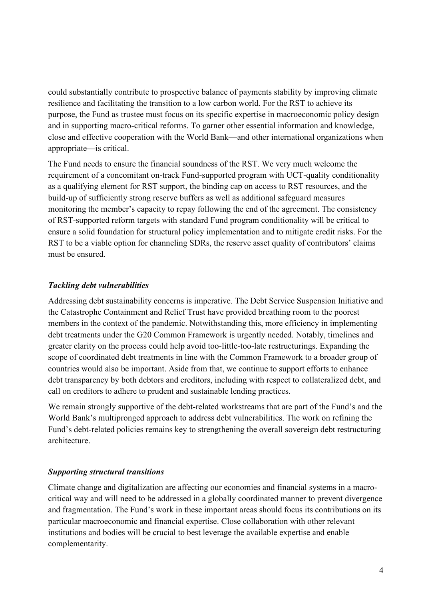could substantially contribute to prospective balance of payments stability by improving climate resilience and facilitating the transition to a low carbon world. For the RST to achieve its purpose, the Fund as trustee must focus on its specific expertise in macroeconomic policy design and in supporting macro-critical reforms. To garner other essential information and knowledge, close and effective cooperation with the World Bank—and other international organizations when appropriate—is critical.

The Fund needs to ensure the financial soundness of the RST. We very much welcome the requirement of a concomitant on-track Fund-supported program with UCT-quality conditionality as a qualifying element for RST support, the binding cap on access to RST resources, and the build-up of sufficiently strong reserve buffers as well as additional safeguard measures monitoring the member's capacity to repay following the end of the agreement. The consistency of RST-supported reform targets with standard Fund program conditionality will be critical to ensure a solid foundation for structural policy implementation and to mitigate credit risks. For the RST to be a viable option for channeling SDRs, the reserve asset quality of contributors' claims must be ensured.

#### *Tackling debt vulnerabilities*

Addressing debt sustainability concerns is imperative. The Debt Service Suspension Initiative and the Catastrophe Containment and Relief Trust have provided breathing room to the poorest members in the context of the pandemic. Notwithstanding this, more efficiency in implementing debt treatments under the G20 Common Framework is urgently needed. Notably, timelines and greater clarity on the process could help avoid too-little-too-late restructurings. Expanding the scope of coordinated debt treatments in line with the Common Framework to a broader group of countries would also be important. Aside from that, we continue to support efforts to enhance debt transparency by both debtors and creditors, including with respect to collateralized debt, and call on creditors to adhere to prudent and sustainable lending practices.

We remain strongly supportive of the debt-related workstreams that are part of the Fund's and the World Bank's multipronged approach to address debt vulnerabilities. The work on refining the Fund's debt-related policies remains key to strengthening the overall sovereign debt restructuring architecture.

#### *Supporting structural transitions*

Climate change and digitalization are affecting our economies and financial systems in a macrocritical way and will need to be addressed in a globally coordinated manner to prevent divergence and fragmentation. The Fund's work in these important areas should focus its contributions on its particular macroeconomic and financial expertise. Close collaboration with other relevant institutions and bodies will be crucial to best leverage the available expertise and enable complementarity.